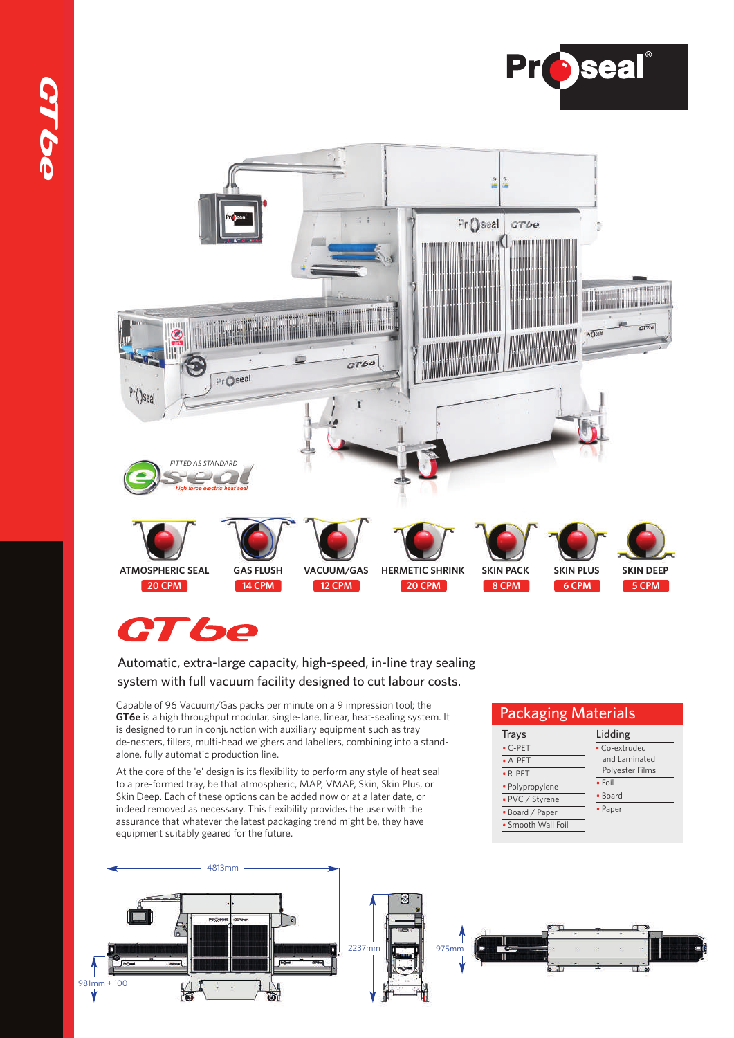





#### Automatic, extra-large capacity, high-speed, in-line tray sealing system with full vacuum facility designed to cut labour costs.

Capable of 96 Vacuum/Gas packs per minute on a 9 impression tool; the **GT6e** is a high throughput modular, single-lane, linear, heat-sealing system. It is designed to run in conjunction with auxiliary equipment such as tray de-nesters, fillers, multi-head weighers and labellers, combining into a standalone, fully automatic production line.

At the core of the 'e' design is its flexibility to perform any style of heat seal to a pre-formed tray, be that atmospheric, MAP, VMAP, Skin, Skin Plus, or Skin Deep. Each of these options can be added now or at a later date, or indeed removed as necessary. This flexibility provides the user with the assurance that whatever the latest packaging trend might be, they have equipment suitably geared for the future.

## 4813mm 2237mm 975mm 981mm + 100 Ý

Trays C-PET A-PET  $R-PET$ • Polypropylene • PVC / Styrene Board / Paper **Smooth Wall Foil**  Lidding Co-extruded and Laminated Polyester Films

Packaging Materials

 $\overline{\cdot$  Foil • Board Paper